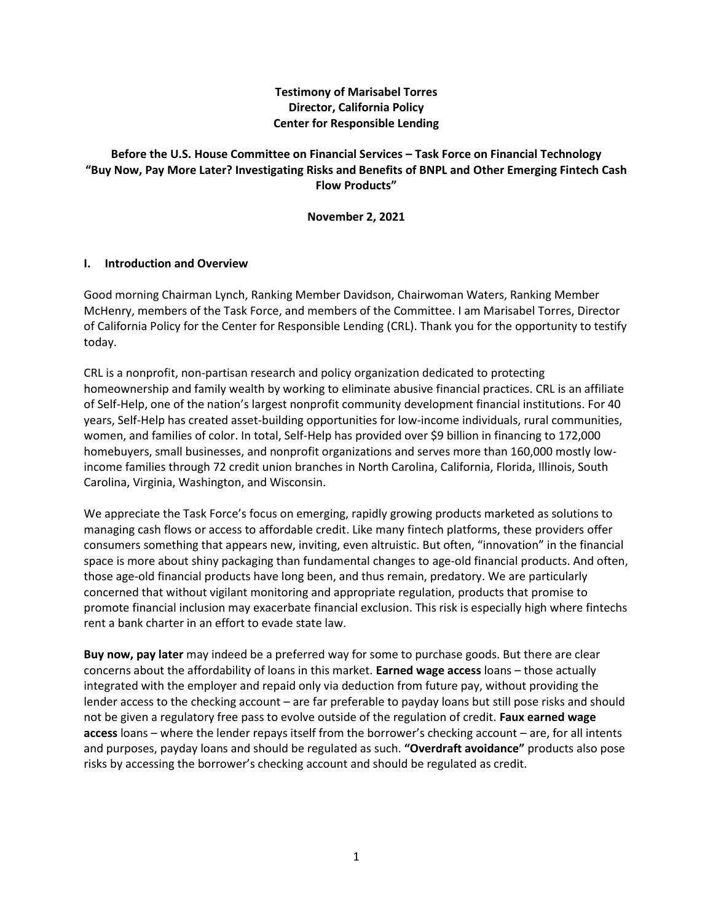### **Testimony of Marisabel Torres Director, California Policy Center for Responsible Lending**

### **Before the U.S. House Committee on Financial Services – Task Force on Financial Technology "Buy Now, Pay More Later? Investigating Risks and Benefits of BNPL and Other Emerging Fintech Cash Flow Products"**

**November 2, 2021**

#### **I. Introduction and Overview**

Good morning Chairman Lynch, Ranking Member Davidson, Chairwoman Waters, Ranking Member McHenry, members of the Task Force, and members of the Committee. I am Marisabel Torres, Director of California Policy for the Center for Responsible Lending (CRL). Thank you for the opportunity to testify today.

CRL is a nonprofit, non-partisan research and policy organization dedicated to protecting homeownership and family wealth by working to eliminate abusive financial practices. CRL is an affiliate of Self-Help, one of the nation's largest nonprofit community development financial institutions. For 40 years, Self-Help has created asset-building opportunities for low-income individuals, rural communities, women, and families of color. In total, Self-Help has provided over \$9 billion in financing to 172,000 homebuyers, small businesses, and nonprofit organizations and serves more than 160,000 mostly lowincome families through 72 credit union branches in North Carolina, California, Florida, Illinois, South Carolina, Virginia, Washington, and Wisconsin.

We appreciate the Task Force's focus on emerging, rapidly growing products marketed as solutions to managing cash flows or access to affordable credit. Like many fintech platforms, these providers offer consumers something that appears new, inviting, even altruistic. But often, "innovation" in the financial space is more about shiny packaging than fundamental changes to age-old financial products. And often, those age-old financial products have long been, and thus remain, predatory. We are particularly concerned that without vigilant monitoring and appropriate regulation, products that promise to promote financial inclusion may exacerbate financial exclusion. This risk is especially high where fintechs rent a bank charter in an effort to evade state law.

**Buy now, pay later** may indeed be a preferred way for some to purchase goods. But there are clear concerns about the affordability of loans in this market. **Earned wage access** loans – those actually integrated with the employer and repaid only via deduction from future pay, without providing the lender access to the checking account – are far preferable to payday loans but still pose risks and should not be given a regulatory free pass to evolve outside of the regulation of credit. **Faux earned wage access** loans – where the lender repays itself from the borrower's checking account – are, for all intents and purposes, payday loans and should be regulated as such. **"Overdraft avoidance"** products also pose risks by accessing the borrower's checking account and should be regulated as credit.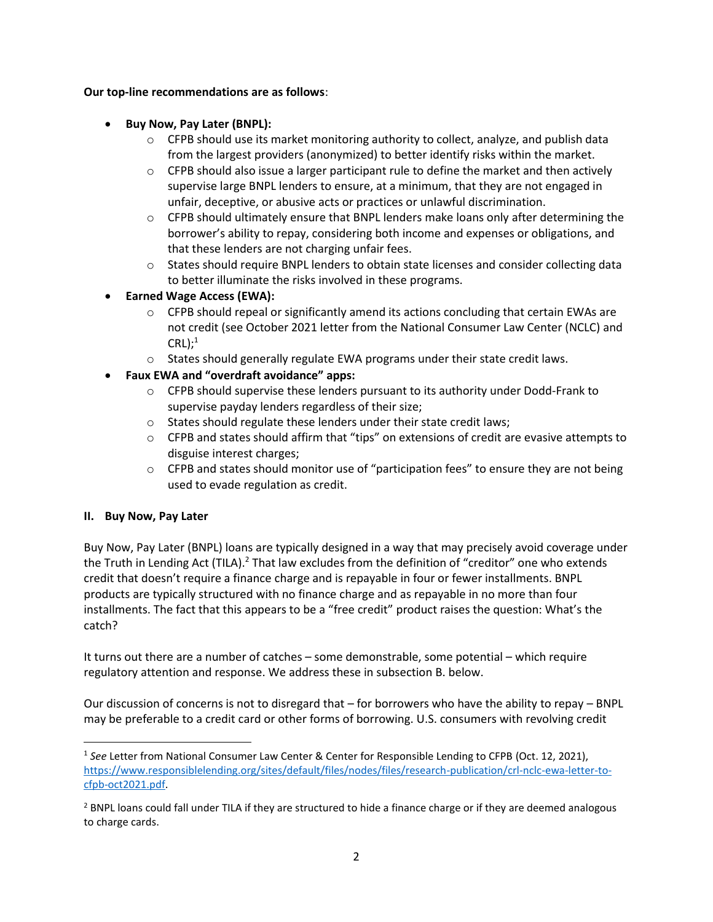#### **Our top-line recommendations are as follows**:

- **Buy Now, Pay Later (BNPL):**
	- $\circ$  CFPB should use its market monitoring authority to collect, analyze, and publish data from the largest providers (anonymized) to better identify risks within the market.
	- $\circ$  CFPB should also issue a larger participant rule to define the market and then actively supervise large BNPL lenders to ensure, at a minimum, that they are not engaged in unfair, deceptive, or abusive acts or practices or unlawful discrimination.
	- $\circ$  CFPB should ultimately ensure that BNPL lenders make loans only after determining the borrower's ability to repay, considering both income and expenses or obligations, and that these lenders are not charging unfair fees.
	- $\circ$  States should require BNPL lenders to obtain state licenses and consider collecting data to better illuminate the risks involved in these programs.
- **Earned Wage Access (EWA):** 
	- o CFPB should repeal or significantly amend its actions concluding that certain EWAs are not credit (see October 2021 letter from the National Consumer Law Center (NCLC) and  $CRL$ ;<sup>1</sup>
	- o States should generally regulate EWA programs under their state credit laws.
- **Faux EWA and "overdraft avoidance" apps:**
	- $\circ$  CFPB should supervise these lenders pursuant to its authority under Dodd-Frank to supervise payday lenders regardless of their size;
	- o States should regulate these lenders under their state credit laws;
	- $\circ$  CFPB and states should affirm that "tips" on extensions of credit are evasive attempts to disguise interest charges;
	- $\circ$  CFPB and states should monitor use of "participation fees" to ensure they are not being used to evade regulation as credit.

#### **II. Buy Now, Pay Later**

Buy Now, Pay Later (BNPL) loans are typically designed in a way that may precisely avoid coverage under the Truth in Lending Act (TILA).<sup>2</sup> That law excludes from the definition of "creditor" one who extends credit that doesn't require a finance charge and is repayable in four or fewer installments. BNPL products are typically structured with no finance charge and as repayable in no more than four installments. The fact that this appears to be a "free credit" product raises the question: What's the catch?

It turns out there are a number of catches – some demonstrable, some potential – which require regulatory attention and response. We address these in subsection B. below.

Our discussion of concerns is not to disregard that – for borrowers who have the ability to repay – BNPL may be preferable to a credit card or other forms of borrowing. U.S. consumers with revolving credit

<sup>1</sup> *See* Letter from National Consumer Law Center & Center for Responsible Lending to CFPB (Oct. 12, 2021), [https://www.responsiblelending.org/sites/default/files/nodes/files/research-publication/crl-nclc-ewa-letter-to](https://www.responsiblelending.org/sites/default/files/nodes/files/research-publication/crl-nclc-ewa-letter-to-cfpb-oct2021.pdf)[cfpb-oct2021.pdf.](https://www.responsiblelending.org/sites/default/files/nodes/files/research-publication/crl-nclc-ewa-letter-to-cfpb-oct2021.pdf)

<sup>&</sup>lt;sup>2</sup> BNPL loans could fall under TILA if they are structured to hide a finance charge or if they are deemed analogous to charge cards.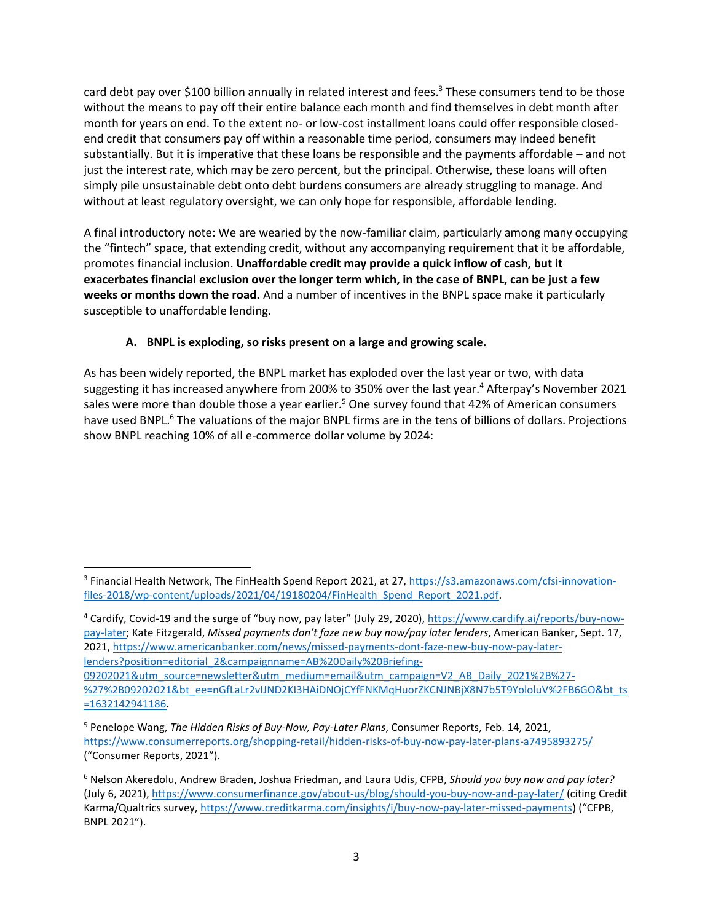card debt pay over \$100 billion annually in related interest and fees.<sup>3</sup> These consumers tend to be those without the means to pay off their entire balance each month and find themselves in debt month after month for years on end. To the extent no- or low-cost installment loans could offer responsible closedend credit that consumers pay off within a reasonable time period, consumers may indeed benefit substantially. But it is imperative that these loans be responsible and the payments affordable – and not just the interest rate, which may be zero percent, but the principal. Otherwise, these loans will often simply pile unsustainable debt onto debt burdens consumers are already struggling to manage. And without at least regulatory oversight, we can only hope for responsible, affordable lending.

A final introductory note: We are wearied by the now-familiar claim, particularly among many occupying the "fintech" space, that extending credit, without any accompanying requirement that it be affordable, promotes financial inclusion. **Unaffordable credit may provide a quick inflow of cash, but it exacerbates financial exclusion over the longer term which, in the case of BNPL, can be just a few weeks or months down the road.** And a number of incentives in the BNPL space make it particularly susceptible to unaffordable lending.

## **A. BNPL is exploding, so risks present on a large and growing scale.**

As has been widely reported, the BNPL market has exploded over the last year or two, with data suggesting it has increased anywhere from 200% to 350% over the last year.<sup>4</sup> Afterpay's November 2021 sales were more than double those a year earlier.<sup>5</sup> One survey found that 42% of American consumers have used BNPL.<sup>6</sup> The valuations of the major BNPL firms are in the tens of billions of dollars. Projections show BNPL reaching 10% of all e-commerce dollar volume by 2024:

<sup>4</sup> Cardify, Covid-19 and the surge of "buy now, pay later" (July 29, 2020)[, https://www.cardify.ai/reports/buy-now](https://www.cardify.ai/reports/buy-now-pay-later)[pay-later;](https://www.cardify.ai/reports/buy-now-pay-later) Kate Fitzgerald, *Missed payments don't faze new buy now/pay later lenders*, American Banker, Sept. 17, 2021, [https://www.americanbanker.com/news/missed-payments-dont-faze-new-buy-now-pay-later](https://www.americanbanker.com/news/missed-payments-dont-faze-new-buy-now-pay-later-lenders?position=editorial_2&campaignname=AB%20Daily%20Briefing-09202021&utm_source=newsletter&utm_medium=email&utm_campaign=V2_AB_Daily_2021%2B%27-%27%2B09202021&bt_ee=nGfLaLr2vIJND2KI3HAiDNOjCYfFNKMqHuorZKCNJNBjX8N7b5T9YololuV%2FB6GO&bt_ts=1632142941186)[lenders?position=editorial\\_2&campaignname=AB%20Daily%20Briefing-](https://www.americanbanker.com/news/missed-payments-dont-faze-new-buy-now-pay-later-lenders?position=editorial_2&campaignname=AB%20Daily%20Briefing-09202021&utm_source=newsletter&utm_medium=email&utm_campaign=V2_AB_Daily_2021%2B%27-%27%2B09202021&bt_ee=nGfLaLr2vIJND2KI3HAiDNOjCYfFNKMqHuorZKCNJNBjX8N7b5T9YololuV%2FB6GO&bt_ts=1632142941186)[09202021&utm\\_source=newsletter&utm\\_medium=email&utm\\_campaign=V2\\_AB\\_Daily\\_2021%2B%27-](https://www.americanbanker.com/news/missed-payments-dont-faze-new-buy-now-pay-later-lenders?position=editorial_2&campaignname=AB%20Daily%20Briefing-09202021&utm_source=newsletter&utm_medium=email&utm_campaign=V2_AB_Daily_2021%2B%27-%27%2B09202021&bt_ee=nGfLaLr2vIJND2KI3HAiDNOjCYfFNKMqHuorZKCNJNBjX8N7b5T9YololuV%2FB6GO&bt_ts=1632142941186) [%27%2B09202021&bt\\_ee=nGfLaLr2vIJND2KI3HAiDNOjCYfFNKMqHuorZKCNJNBjX8N7b5T9YololuV%2FB6GO&bt\\_ts](https://www.americanbanker.com/news/missed-payments-dont-faze-new-buy-now-pay-later-lenders?position=editorial_2&campaignname=AB%20Daily%20Briefing-09202021&utm_source=newsletter&utm_medium=email&utm_campaign=V2_AB_Daily_2021%2B%27-%27%2B09202021&bt_ee=nGfLaLr2vIJND2KI3HAiDNOjCYfFNKMqHuorZKCNJNBjX8N7b5T9YololuV%2FB6GO&bt_ts=1632142941186) [=1632142941186.](https://www.americanbanker.com/news/missed-payments-dont-faze-new-buy-now-pay-later-lenders?position=editorial_2&campaignname=AB%20Daily%20Briefing-09202021&utm_source=newsletter&utm_medium=email&utm_campaign=V2_AB_Daily_2021%2B%27-%27%2B09202021&bt_ee=nGfLaLr2vIJND2KI3HAiDNOjCYfFNKMqHuorZKCNJNBjX8N7b5T9YololuV%2FB6GO&bt_ts=1632142941186)

<sup>&</sup>lt;sup>3</sup> Financial Health Network, The FinHealth Spend Report 2021, at 27, <u>https://s3.amazonaws.com/cfsi-innovation-</u> [files-2018/wp-content/uploads/2021/04/19180204/FinHealth\\_Spend\\_Report\\_2021.pdf.](https://s3.amazonaws.com/cfsi-innovation-files-2018/wp-content/uploads/2021/04/19180204/FinHealth_Spend_Report_2021.pdf)

<sup>5</sup> Penelope Wang, *The Hidden Risks of Buy-Now, Pay-Later Plans*, Consumer Reports, Feb. 14, 2021, <https://www.consumerreports.org/shopping-retail/hidden-risks-of-buy-now-pay-later-plans-a7495893275/> ("Consumer Reports, 2021").

<sup>6</sup> Nelson Akeredolu, Andrew Braden, Joshua Friedman, and Laura Udis, CFPB, *Should you buy now and pay later?* (July 6, 2021)[, https://www.consumerfinance.gov/about-us/blog/should-you-buy-now-and-pay-later/](https://www.consumerfinance.gov/about-us/blog/should-you-buy-now-and-pay-later/) (citing Credit Karma/Qualtrics survey, [https://www.creditkarma.com/insights/i/buy-now-pay-later-missed-payments\)](https://www.creditkarma.com/insights/i/buy-now-pay-later-missed-payments) ("CFPB, BNPL 2021").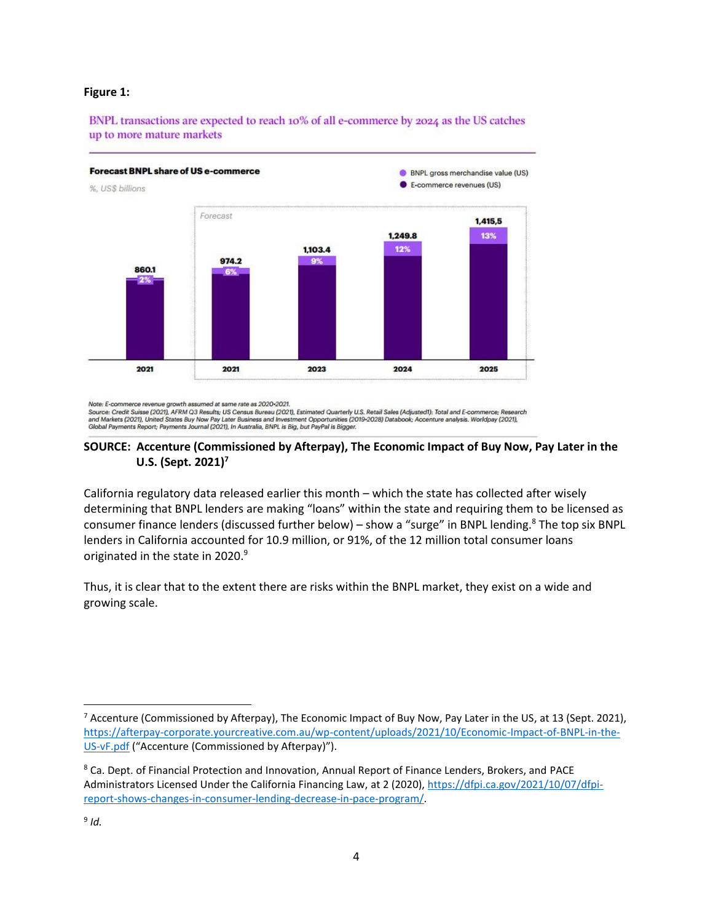#### **Figure 1:**

BNPL transactions are expected to reach 10% of all e-commerce by 2024 as the US catches up to more mature markets



Note: E-commerce revenue growth assumed at same rate as 2020-2021.

Source: Credit Suisse (2021), AFRM Q3 Results; US Census Bureau (2021), Estimated Quarterly U.S. Retail Sales (Adjusted1): Total and E-commerce; Research and Markets (2021), United States Buy Now Pay Later Business and Investment Opportunities (2019-2028) Databook; Accenture analysis. Worldpay (2021),<br>Global Payments Report; Payments Journal (2021), In Australia, BNPL is Bi

#### **SOURCE: Accenture (Commissioned by Afterpay), The Economic Impact of Buy Now, Pay Later in the U.S. (Sept. 2021)<sup>7</sup>**

California regulatory data released earlier this month – which the state has collected after wisely determining that BNPL lenders are making "loans" within the state and requiring them to be licensed as consumer finance lenders (discussed further below) - show a "surge" in BNPL lending.<sup>8</sup> The top six BNPL lenders in California accounted for 10.9 million, or 91%, of the 12 million total consumer loans originated in the state in 2020.<sup>9</sup>

Thus, it is clear that to the extent there are risks within the BNPL market, they exist on a wide and growing scale.

<sup>&</sup>lt;sup>7</sup> Accenture (Commissioned by Afterpay), The Economic Impact of Buy Now, Pay Later in the US, at 13 (Sept. 2021), [https://afterpay-corporate.yourcreative.com.au/wp-content/uploads/2021/10/Economic-Impact-of-BNPL-in-the-](https://afterpay-corporate.yourcreative.com.au/wp-content/uploads/2021/10/Economic-Impact-of-BNPL-in-the-US-vF.pdf)[US-vF.pdf](https://afterpay-corporate.yourcreative.com.au/wp-content/uploads/2021/10/Economic-Impact-of-BNPL-in-the-US-vF.pdf) ("Accenture (Commissioned by Afterpay)").

<sup>8</sup> Ca. Dept. of Financial Protection and Innovation, Annual Report of Finance Lenders, Brokers, and PACE Administrators Licensed Under the California Financing Law, at 2 (2020), [https://dfpi.ca.gov/2021/10/07/dfpi](https://dfpi.ca.gov/2021/10/07/dfpi-report-shows-changes-in-consumer-lending-decrease-in-pace-program/)[report-shows-changes-in-consumer-lending-decrease-in-pace-program/.](https://dfpi.ca.gov/2021/10/07/dfpi-report-shows-changes-in-consumer-lending-decrease-in-pace-program/)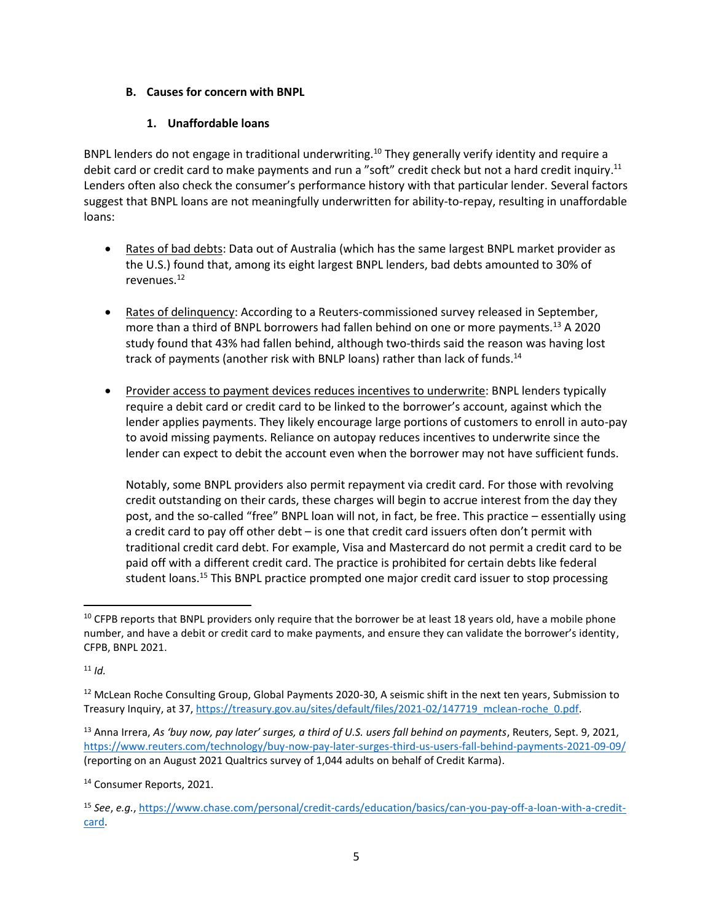### **B. Causes for concern with BNPL**

### **1. Unaffordable loans**

BNPL lenders do not engage in traditional underwriting.<sup>10</sup> They generally verify identity and require a debit card or credit card to make payments and run a "soft" credit check but not a hard credit inquiry.<sup>11</sup> Lenders often also check the consumer's performance history with that particular lender. Several factors suggest that BNPL loans are not meaningfully underwritten for ability-to-repay, resulting in unaffordable loans:

- Rates of bad debts: Data out of Australia (which has the same largest BNPL market provider as the U.S.) found that, among its eight largest BNPL lenders, bad debts amounted to 30% of revenues.<sup>12</sup>
- Rates of delinquency: According to a Reuters-commissioned survey released in September, more than a third of BNPL borrowers had fallen behind on one or more payments.<sup>13</sup> A 2020 study found that 43% had fallen behind, although two-thirds said the reason was having lost track of payments (another risk with BNLP loans) rather than lack of funds. $^{14}$
- Provider access to payment devices reduces incentives to underwrite: BNPL lenders typically require a debit card or credit card to be linked to the borrower's account, against which the lender applies payments. They likely encourage large portions of customers to enroll in auto-pay to avoid missing payments. Reliance on autopay reduces incentives to underwrite since the lender can expect to debit the account even when the borrower may not have sufficient funds.

Notably, some BNPL providers also permit repayment via credit card. For those with revolving credit outstanding on their cards, these charges will begin to accrue interest from the day they post, and the so-called "free" BNPL loan will not, in fact, be free. This practice – essentially using a credit card to pay off other debt – is one that credit card issuers often don't permit with traditional credit card debt. For example, Visa and Mastercard do not permit a credit card to be paid off with a different credit card. The practice is prohibited for certain debts like federal student loans.<sup>15</sup> This BNPL practice prompted one major credit card issuer to stop processing

<sup>14</sup> Consumer Reports, 2021.

 $10$  CFPB reports that BNPL providers only require that the borrower be at least 18 years old, have a mobile phone number, and have a debit or credit card to make payments, and ensure they can validate the borrower's identity, CFPB, BNPL 2021.

 $11$  *[Id.](https://www.consumerfinance.gov/about-us/blog/should-you-buy-now-and-pay-later/)* 

<sup>&</sup>lt;sup>12</sup> McLean Roche Consulting Group, Global Payments 2020-30, A seismic shift in the next ten years, Submission to Treasury Inquiry, at 37[, https://treasury.gov.au/sites/default/files/2021-02/147719\\_mclean-roche\\_0.pdf.](https://treasury.gov.au/sites/default/files/2021-02/147719_mclean-roche_0.pdf)

<sup>13</sup> Anna Irrera, *As 'buy now, pay later' surges, a third of U.S. users fall behind on payments*, Reuters, Sept. 9, 2021, <https://www.reuters.com/technology/buy-now-pay-later-surges-third-us-users-fall-behind-payments-2021-09-09/> (reporting on an August 2021 Qualtrics survey of 1,044 adults on behalf of Credit Karma).

<sup>15</sup> *See*, *e.g.*[, https://www.chase.com/personal/credit-cards/education/basics/can-you-pay-off-a-loan-with-a-credit](https://www.chase.com/personal/credit-cards/education/basics/can-you-pay-off-a-loan-with-a-credit-card)[card.](https://www.chase.com/personal/credit-cards/education/basics/can-you-pay-off-a-loan-with-a-credit-card)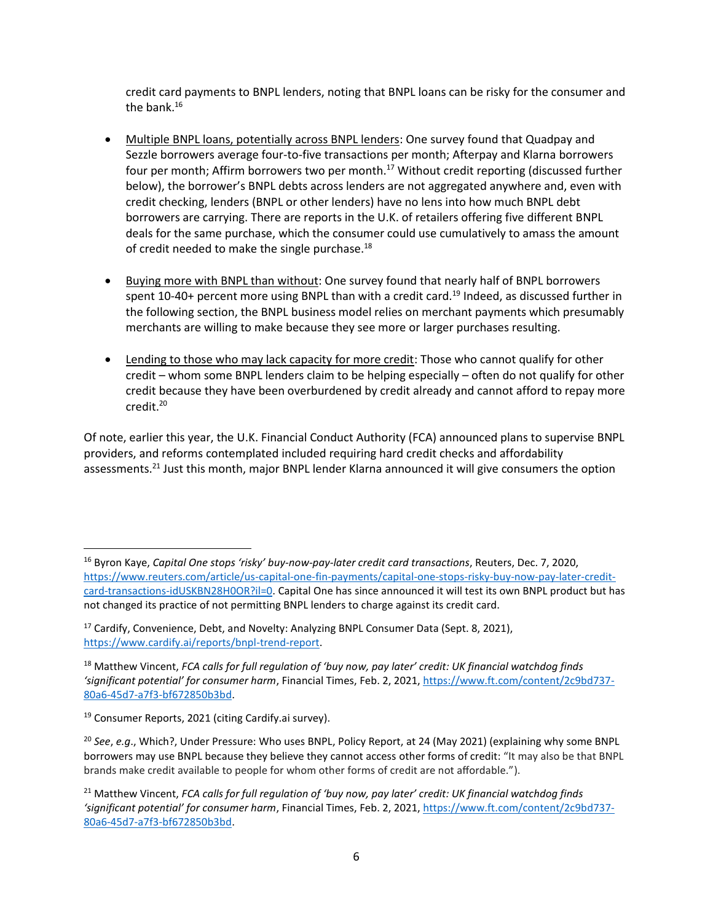credit card payments to BNPL lenders, noting that BNPL loans can be risky for the consumer and the bank. $16$ 

- Multiple BNPL loans, potentially across BNPL lenders: One survey found that Quadpay and Sezzle borrowers average four-to-five transactions per month; Afterpay and Klarna borrowers four per month; Affirm borrowers two per month.<sup>17</sup> Without credit reporting (discussed further below), the borrower's BNPL debts across lenders are not aggregated anywhere and, even with credit checking, lenders (BNPL or other lenders) have no lens into how much BNPL debt borrowers are carrying. There are reports in the U.K. of retailers offering five different BNPL deals for the same purchase, which the consumer could use cumulatively to amass the amount of credit needed to make the single purchase. $^{18}$
- Buying more with BNPL than without: One survey found that nearly half of BNPL borrowers spent  $10-40+$  percent more using BNPL than with a credit card.<sup>19</sup> Indeed, as discussed further in the following section, the BNPL business model relies on merchant payments which presumably merchants are willing to make because they see more or larger purchases resulting.
- Lending to those who may lack capacity for more credit: Those who cannot qualify for other credit – whom some BNPL lenders claim to be helping especially – often do not qualify for other credit because they have been overburdened by credit already and cannot afford to repay more credit.<sup>20</sup>

Of note, earlier this year, the U.K. Financial Conduct Authority (FCA) announced plans to supervise BNPL providers, and reforms contemplated included requiring hard credit checks and affordability assessments.<sup>21</sup> Just this month, major BNPL lender Klarna announced it will give consumers the option

<sup>16</sup> Byron Kaye, *Capital One stops 'risky' buy-now-pay-later credit card transactions*, Reuters, Dec. 7, 2020, [https://www.reuters.com/article/us-capital-one-fin-payments/capital-one-stops-risky-buy-now-pay-later-credit](https://www.reuters.com/article/us-capital-one-fin-payments/capital-one-stops-risky-buy-now-pay-later-credit-card-transactions-idUSKBN28H0OR?il=0)[card-transactions-idUSKBN28H0OR?il=0.](https://www.reuters.com/article/us-capital-one-fin-payments/capital-one-stops-risky-buy-now-pay-later-credit-card-transactions-idUSKBN28H0OR?il=0) Capital One has since announced it will test its own BNPL product but has not changed its practice of not permitting BNPL lenders to charge against its credit card.

<sup>&</sup>lt;sup>17</sup> Cardify, Convenience, Debt, and Novelty: Analyzing BNPL Consumer Data (Sept. 8, 2021), [https://www.cardify.ai/reports/bnpl-trend-report.](https://www.cardify.ai/reports/bnpl-trend-report)

<sup>18</sup> Matthew Vincent, *FCA calls for full regulation of 'buy now, pay later' credit: UK financial watchdog finds 'significant potential' for consumer harm*, Financial Times, Feb. 2, 2021, [https://www.ft.com/content/2c9bd737-](https://www.ft.com/content/2c9bd737-80a6-45d7-a7f3-bf672850b3bd) [80a6-45d7-a7f3-bf672850b3bd.](https://www.ft.com/content/2c9bd737-80a6-45d7-a7f3-bf672850b3bd)

<sup>19</sup> Consumer Reports, 2021 (citing Cardify.ai survey).

<sup>20</sup> *See*, *e.g*., Which?, Under Pressure: Who uses BNPL, Policy Report, at 24 (May 2021) (explaining why some BNPL borrowers may use BNPL because they believe they cannot access other forms of credit: "It may also be that BNPL brands make credit available to people for whom other forms of credit are not affordable.").

<sup>21</sup> Matthew Vincent, *FCA calls for full regulation of 'buy now, pay later' credit: UK financial watchdog finds 'significant potential' for consumer harm*, Financial Times, Feb. 2, 2021[, https://www.ft.com/content/2c9bd737-](https://www.ft.com/content/2c9bd737-80a6-45d7-a7f3-bf672850b3bd) [80a6-45d7-a7f3-bf672850b3bd.](https://www.ft.com/content/2c9bd737-80a6-45d7-a7f3-bf672850b3bd)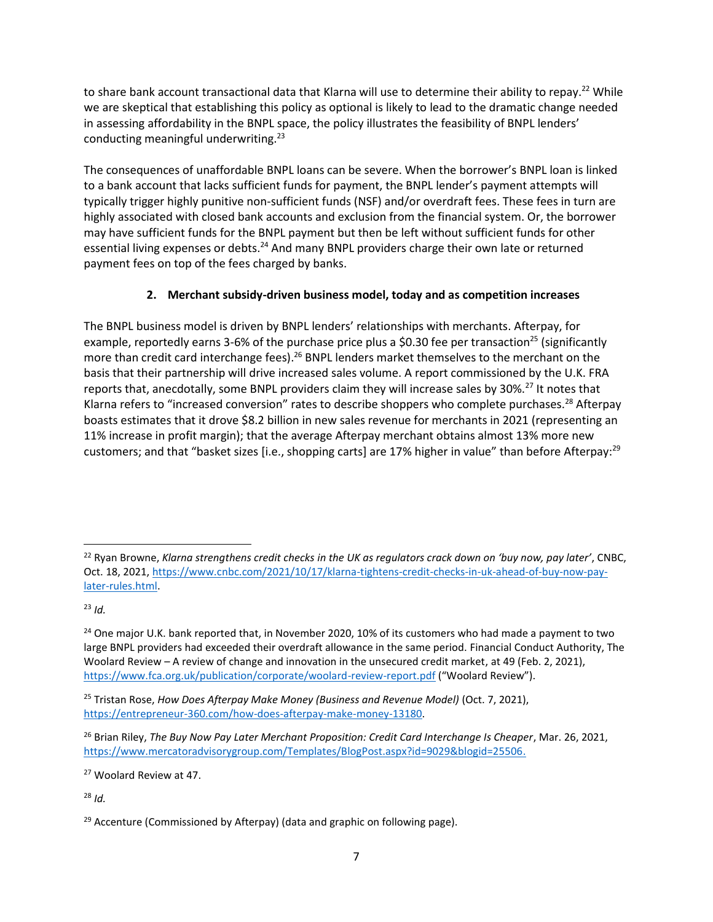to share bank account transactional data that Klarna will use to determine their ability to repay.<sup>22</sup> While we are skeptical that establishing this policy as optional is likely to lead to the dramatic change needed in assessing affordability in the BNPL space, the policy illustrates the feasibility of BNPL lenders' conducting meaningful underwriting.<sup>23</sup>

The consequences of unaffordable BNPL loans can be severe. When the borrower's BNPL loan is linked to a bank account that lacks sufficient funds for payment, the BNPL lender's payment attempts will typically trigger highly punitive non-sufficient funds (NSF) and/or overdraft fees. These fees in turn are highly associated with closed bank accounts and exclusion from the financial system. Or, the borrower may have sufficient funds for the BNPL payment but then be left without sufficient funds for other essential living expenses or debts.<sup>24</sup> And many BNPL providers charge their own late or returned payment fees on top of the fees charged by banks.

## **2. Merchant subsidy-driven business model, today and as competition increases**

The BNPL business model is driven by BNPL lenders' relationships with merchants. Afterpay, for example, reportedly earns 3-6% of the purchase price plus a \$0.30 fee per transaction<sup>25</sup> (significantly more than credit card interchange fees).<sup>26</sup> BNPL lenders market themselves to the merchant on the basis that their partnership will drive increased sales volume. A report commissioned by the U.K. FRA reports that, anecdotally, some BNPL providers claim they will increase sales by 30%.<sup>27</sup> It notes that Klarna refers to "increased conversion" rates to describe shoppers who complete purchases.<sup>28</sup> Afterpay boasts estimates that it drove \$8.2 billion in new sales revenue for merchants in 2021 (representing an 11% increase in profit margin); that the average Afterpay merchant obtains almost 13% more new customers; and that "basket sizes [i.e., shopping carts] are 17% higher in value" than before Afterpay:<sup>29</sup>

<sup>23</sup> *[Id.](https://www.cnbc.com/2021/10/17/klarna-tightens-credit-checks-in-uk-ahead-of-buy-now-pay-later-rules.html)*

<sup>27</sup> Woolard Review at 47.

<sup>28</sup> *Id.*

<sup>22</sup> Ryan Browne, *Klarna strengthens credit checks in the UK as regulators crack down on 'buy now, pay later'*, CNBC, Oct. 18, 2021, [https://www.cnbc.com/2021/10/17/klarna-tightens-credit-checks-in-uk-ahead-of-buy-now-pay](https://www.cnbc.com/2021/10/17/klarna-tightens-credit-checks-in-uk-ahead-of-buy-now-pay-later-rules.html)[later-rules.html.](https://www.cnbc.com/2021/10/17/klarna-tightens-credit-checks-in-uk-ahead-of-buy-now-pay-later-rules.html)

<sup>&</sup>lt;sup>24</sup> One major U.K. bank reported that, in November 2020, 10% of its customers who had made a payment to two large BNPL providers had exceeded their overdraft allowance in the same period. Financial Conduct Authority, The Woolard Review – A review of change and innovation in the unsecured credit market, at 49 (Feb. 2, 2021), <https://www.fca.org.uk/publication/corporate/woolard-review-report.pdf> ("Woolard Review").

<sup>25</sup> Tristan Rose, *How Does Afterpay Make Money (Business and Revenue Model)* (Oct. 7, 2021), [https://entrepreneur-360.com/how-does-afterpay-make-money-13180.](https://entrepreneur-360.com/how-does-afterpay-make-money-13180)

<sup>26</sup> Brian Riley, *The Buy Now Pay Later Merchant Proposition: Credit Card Interchange Is Cheaper*, Mar. 26, 2021, [https://www.mercatoradvisorygroup.com/Templates/BlogPost.aspx?id=9029&blogid=25506.](https://www.mercatoradvisorygroup.com/Templates/BlogPost.aspx?id=9029&blogid=25506)

 $29$  Accenture (Commissioned by Afterpay) (data and graphic on following page).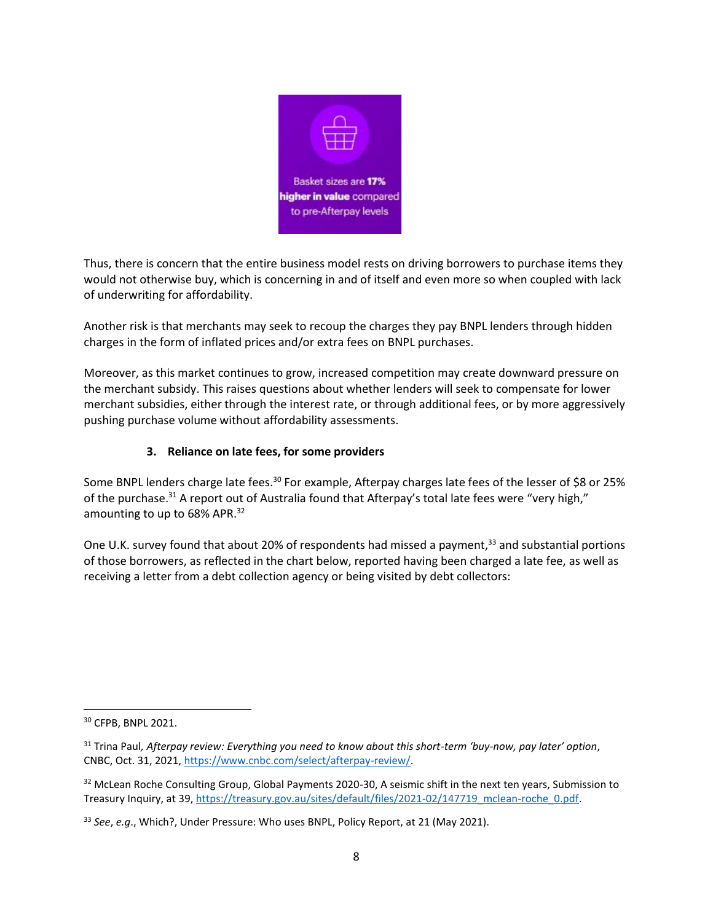

Thus, there is concern that the entire business model rests on driving borrowers to purchase items they would not otherwise buy, which is concerning in and of itself and even more so when coupled with lack of underwriting for affordability.

Another risk is that merchants may seek to recoup the charges they pay BNPL lenders through hidden charges in the form of inflated prices and/or extra fees on BNPL purchases.

Moreover, as this market continues to grow, increased competition may create downward pressure on the merchant subsidy. This raises questions about whether lenders will seek to compensate for lower merchant subsidies, either through the interest rate, or through additional fees, or by more aggressively pushing purchase volume without affordability assessments.

### **3. Reliance on late fees, for some providers**

Some BNPL lenders charge late fees.<sup>30</sup> For example, Afterpay charges late fees of the lesser of \$8 or 25% of the purchase.<sup>31</sup> A report out of Australia found that Afterpay's total late fees were "very high," amounting to up to 68% APR.<sup>32</sup>

One U.K. survey found that about 20% of respondents had missed a payment,<sup>33</sup> and substantial portions of those borrowers, as reflected in the chart below, reported having been charged a late fee, as well as receiving a letter from a debt collection agency or being visited by debt collectors:

<sup>30</sup> CFPB, BNPL 2021.

<sup>31</sup> Trina Paul*, Afterpay review: Everything you need to know about this short-term 'buy-now, pay later' option*, CNBC, Oct. 31, 2021, [https://www.cnbc.com/select/afterpay-review/.](https://www.cnbc.com/select/afterpay-review/)

<sup>&</sup>lt;sup>32</sup> McLean Roche Consulting Group, Global Payments 2020-30, A seismic shift in the next ten years, Submission to Treasury Inquiry, at 39[, https://treasury.gov.au/sites/default/files/2021-02/147719\\_mclean-roche\\_0.pdf.](https://treasury.gov.au/sites/default/files/2021-02/147719_mclean-roche_0.pdf)

<sup>33</sup> *See*, *e.g*., Which?, Under Pressure: Who uses BNPL, Policy Report, at 21 (May 2021).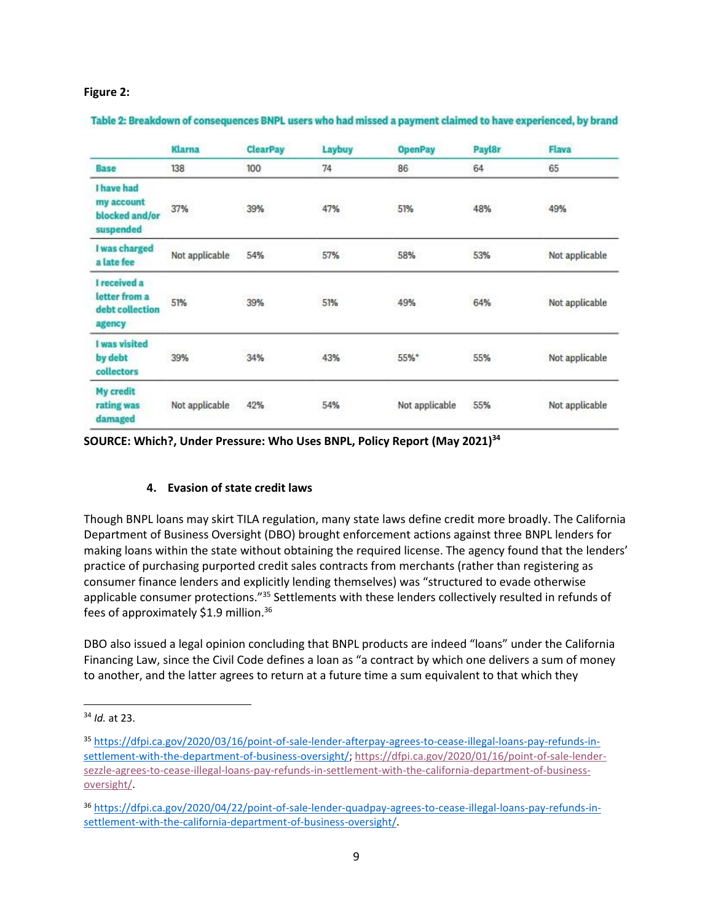#### **Figure 2:**

|                                                            | <b>Klarna</b>  | <b>ClearPay</b> | Laybuy         | <b>OpenPay</b> | Payl8r      | <b>Flava</b>   |
|------------------------------------------------------------|----------------|-----------------|----------------|----------------|-------------|----------------|
| Base                                                       | 138            | 100             | 74             | 86             | 64          | 65             |
| I have had<br>my account<br>blocked and/or<br>suspended    | 37%            | 39%             | 47%<br>83 TAN  | 51%            | 48%         | 49%<br>---     |
| I was charged<br>a late fee                                | Not applicable | 54%             | 57%            | 58%            | 53%         | Not applicable |
| I received a<br>letter from a<br>debt collection<br>agency | 51%            | 39%             | interit<br>51% | 49%            | 2326<br>64% | Not applicable |
| I was visited<br>by debt<br>collectors                     | 39%            | Michail<br>34%  | 43%            | 55%*           | 55%         | Not applicable |
| <b>My credit</b><br>rating was<br>damaged                  | Not applicable | 42%             | 54%            | Not applicable | 55%         | Not applicable |

#### Table 2: Breakdown of consequences BNPL users who had missed a payment claimed to have experienced, by brand

**SOURCE: Which?, Under Pressure: Who Uses BNPL, Policy Report (May 2021) 34**

#### **4. Evasion of state credit laws**

Though BNPL loans may skirt TILA regulation, many state laws define credit more broadly. The California Department of Business Oversight (DBO) brought enforcement actions against three BNPL lenders for making loans within the state without obtaining the required license. The agency found that the lenders' practice of purchasing purported credit sales contracts from merchants (rather than registering as consumer finance lenders and explicitly lending themselves) was "structured to evade otherwise applicable consumer protections."<sup>35</sup> Settlements with these lenders collectively resulted in refunds of fees of approximately \$1.9 million.<sup>36</sup>

DBO also issued a legal opinion concluding that BNPL products are indeed "loans" under the California Financing Law, since the Civil Code defines a loan as "a contract by which one delivers a sum of money to another, and the latter agrees to return at a future time a sum equivalent to that which they

<sup>34</sup> *Id.* at 23.

<sup>35</sup> [https://dfpi.ca.gov/2020/03/16/point-of-sale-lender-afterpay-agrees-to-cease-illegal-loans-pay-refunds-in](https://dfpi.ca.gov/2020/03/16/point-of-sale-lender-afterpay-agrees-to-cease-illegal-loans-pay-refunds-in-settlement-with-the-department-of-business-oversight/)[settlement-with-the-department-of-business-oversight/;](https://dfpi.ca.gov/2020/03/16/point-of-sale-lender-afterpay-agrees-to-cease-illegal-loans-pay-refunds-in-settlement-with-the-department-of-business-oversight/) [https://dfpi.ca.gov/2020/01/16/point-of-sale-lender](https://dfpi.ca.gov/2020/01/16/point-of-sale-lender-sezzle-agrees-to-cease-illegal-loans-pay-refunds-in-settlement-with-the-california-department-of-business-oversight/)[sezzle-agrees-to-cease-illegal-loans-pay-refunds-in-settlement-with-the-california-department-of-business](https://dfpi.ca.gov/2020/01/16/point-of-sale-lender-sezzle-agrees-to-cease-illegal-loans-pay-refunds-in-settlement-with-the-california-department-of-business-oversight/)[oversight/.](https://dfpi.ca.gov/2020/01/16/point-of-sale-lender-sezzle-agrees-to-cease-illegal-loans-pay-refunds-in-settlement-with-the-california-department-of-business-oversight/)

<sup>36</sup> [https://dfpi.ca.gov/2020/04/22/point-of-sale-lender-quadpay-agrees-to-cease-illegal-loans-pay-refunds-in](https://dfpi.ca.gov/2020/04/22/point-of-sale-lender-quadpay-agrees-to-cease-illegal-loans-pay-refunds-in-settlement-with-the-california-department-of-business-oversight/)[settlement-with-the-california-department-of-business-oversight/.](https://dfpi.ca.gov/2020/04/22/point-of-sale-lender-quadpay-agrees-to-cease-illegal-loans-pay-refunds-in-settlement-with-the-california-department-of-business-oversight/)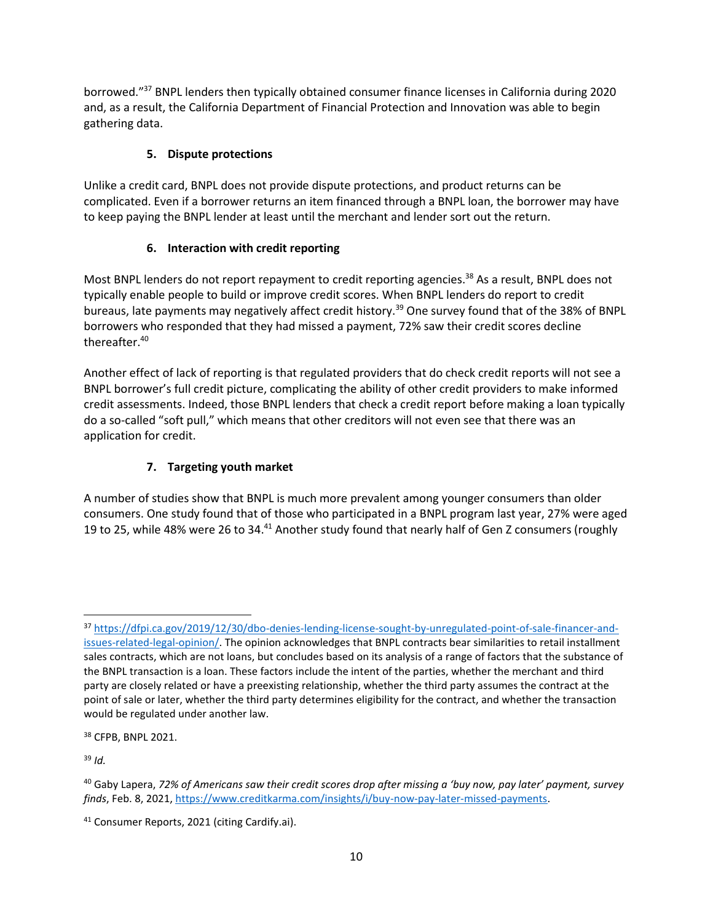borrowed."<sup>37</sup> BNPL lenders then typically obtained consumer finance licenses in California during 2020 and, as a result, the California Department of Financial Protection and Innovation was able to begin gathering data.

# **5. Dispute protections**

Unlike a credit card, BNPL does not provide dispute protections, and product returns can be complicated. Even if a borrower returns an item financed through a BNPL loan, the borrower may have to keep paying the BNPL lender at least until the merchant and lender sort out the return.

## **6. Interaction with credit reporting**

Most BNPL lenders do not report repayment to credit reporting agencies.<sup>38</sup> As a result, BNPL does not typically enable people to build or improve credit scores. When BNPL lenders do report to credit bureaus, late payments may negatively affect credit history.<sup>39</sup> One survey found that of the 38% of BNPL borrowers who responded that they had missed a payment, 72% saw their credit scores decline thereafter.<sup>40</sup>

Another effect of lack of reporting is that regulated providers that do check credit reports will not see a BNPL borrower's full credit picture, complicating the ability of other credit providers to make informed credit assessments. Indeed, those BNPL lenders that check a credit report before making a loan typically do a so-called "soft pull," which means that other creditors will not even see that there was an application for credit.

# **7. Targeting youth market**

A number of studies show that BNPL is much more prevalent among younger consumers than older consumers. One study found that of those who participated in a BNPL program last year, 27% were aged 19 to 25, while 48% were 26 to 34.<sup>41</sup> Another study found that nearly half of Gen Z consumers (roughly

<sup>38</sup> CFPB, BNPL 2021.

<sup>39</sup> *Id.*

<sup>37</sup> [https://dfpi.ca.gov/2019/12/30/dbo-denies-lending-license-sought-by-unregulated-point-of-sale-financer-and](https://dfpi.ca.gov/2019/12/30/dbo-denies-lending-license-sought-by-unregulated-point-of-sale-financer-and-issues-related-legal-opinion/)[issues-related-legal-opinion/.](https://dfpi.ca.gov/2019/12/30/dbo-denies-lending-license-sought-by-unregulated-point-of-sale-financer-and-issues-related-legal-opinion/) The opinion acknowledges that BNPL contracts bear similarities to retail installment sales contracts, which are not loans, but concludes based on its analysis of a range of factors that the substance of the BNPL transaction is a loan. These factors include the intent of the parties, whether the merchant and third party are closely related or have a preexisting relationship, whether the third party assumes the contract at the point of sale or later, whether the third party determines eligibility for the contract, and whether the transaction would be regulated under another law.

<sup>40</sup> Gaby Lapera, *72% of Americans saw their credit scores drop after missing a 'buy now, pay later' payment, survey finds*, Feb. 8, 2021[, https://www.creditkarma.com/insights/i/buy-now-pay-later-missed-payments.](https://www.creditkarma.com/insights/i/buy-now-pay-later-missed-payments)

<sup>41</sup> Consumer Reports, 2021 (citing Cardify.ai).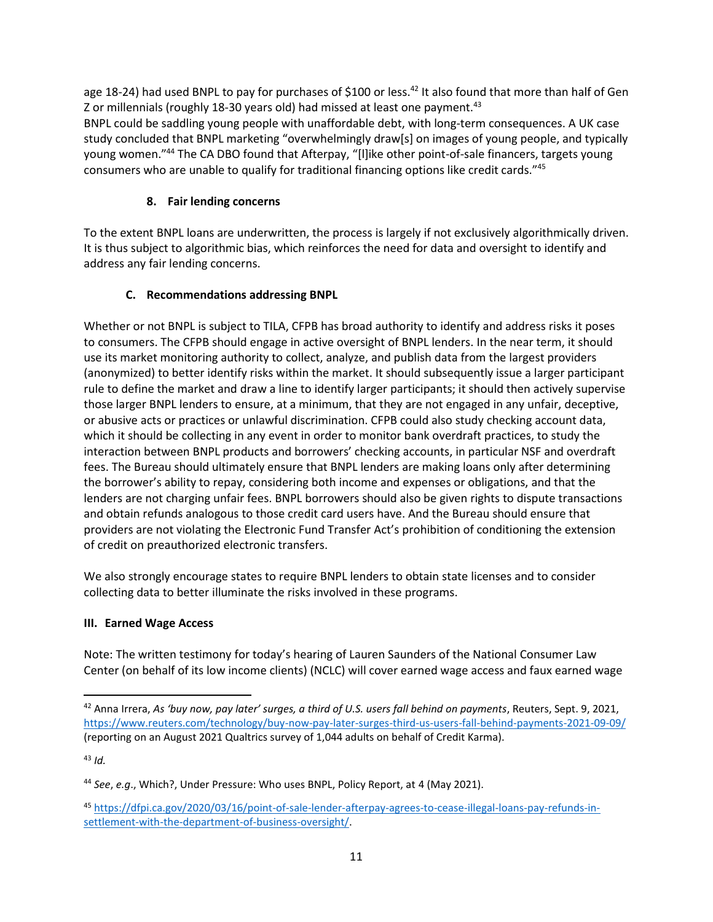age 18-24) had used BNPL to pay for purchases of \$100 or less.<sup>42</sup> It also found that more than half of Gen Z or millennials (roughly 18-30 years old) had missed at least one payment.<sup>43</sup>

BNPL could be saddling young people with unaffordable debt, with long-term consequences. A UK case study concluded that BNPL marketing "overwhelmingly draw[s] on images of young people, and typically young women."<sup>44</sup> The CA DBO found that Afterpay, "[l]ike other point-of-sale financers, targets young consumers who are unable to qualify for traditional financing options like credit cards."<sup>45</sup>

## **8. Fair lending concerns**

To the extent BNPL loans are underwritten, the process is largely if not exclusively algorithmically driven. It is thus subject to algorithmic bias, which reinforces the need for data and oversight to identify and address any fair lending concerns.

## **C. Recommendations addressing BNPL**

Whether or not BNPL is subject to TILA, CFPB has broad authority to identify and address risks it poses to consumers. The CFPB should engage in active oversight of BNPL lenders. In the near term, it should use its market monitoring authority to collect, analyze, and publish data from the largest providers (anonymized) to better identify risks within the market. It should subsequently issue a larger participant rule to define the market and draw a line to identify larger participants; it should then actively supervise those larger BNPL lenders to ensure, at a minimum, that they are not engaged in any unfair, deceptive, or abusive acts or practices or unlawful discrimination. CFPB could also study checking account data, which it should be collecting in any event in order to monitor bank overdraft practices, to study the interaction between BNPL products and borrowers' checking accounts, in particular NSF and overdraft fees. The Bureau should ultimately ensure that BNPL lenders are making loans only after determining the borrower's ability to repay, considering both income and expenses or obligations, and that the lenders are not charging unfair fees. BNPL borrowers should also be given rights to dispute transactions and obtain refunds analogous to those credit card users have. And the Bureau should ensure that providers are not violating the Electronic Fund Transfer Act's prohibition of conditioning the extension of credit on preauthorized electronic transfers.

We also strongly encourage states to require BNPL lenders to obtain state licenses and to consider collecting data to better illuminate the risks involved in these programs.

### **III. Earned Wage Access**

Note: The written testimony for today's hearing of Lauren Saunders of the National Consumer Law Center (on behalf of its low income clients) (NCLC) will cover earned wage access and faux earned wage

<sup>43</sup> *[Id.](https://www.reuters.com/technology/buy-now-pay-later-surges-third-us-users-fall-behind-payments-2021-09-09/)*

<sup>42</sup> Anna Irrera, *As 'buy now, pay later' surges, a third of U.S. users fall behind on payments*, Reuters, Sept. 9, 2021, <https://www.reuters.com/technology/buy-now-pay-later-surges-third-us-users-fall-behind-payments-2021-09-09/> (reporting on an August 2021 Qualtrics survey of 1,044 adults on behalf of Credit Karma).

<sup>44</sup> *See*, *e.g*., Which?, Under Pressure: Who uses BNPL, Policy Report, at 4 (May 2021).

<sup>45</sup> [https://dfpi.ca.gov/2020/03/16/point-of-sale-lender-afterpay-agrees-to-cease-illegal-loans-pay-refunds-in](https://dfpi.ca.gov/2020/03/16/point-of-sale-lender-afterpay-agrees-to-cease-illegal-loans-pay-refunds-in-settlement-with-the-department-of-business-oversight/)[settlement-with-the-department-of-business-oversight/.](https://dfpi.ca.gov/2020/03/16/point-of-sale-lender-afterpay-agrees-to-cease-illegal-loans-pay-refunds-in-settlement-with-the-department-of-business-oversight/)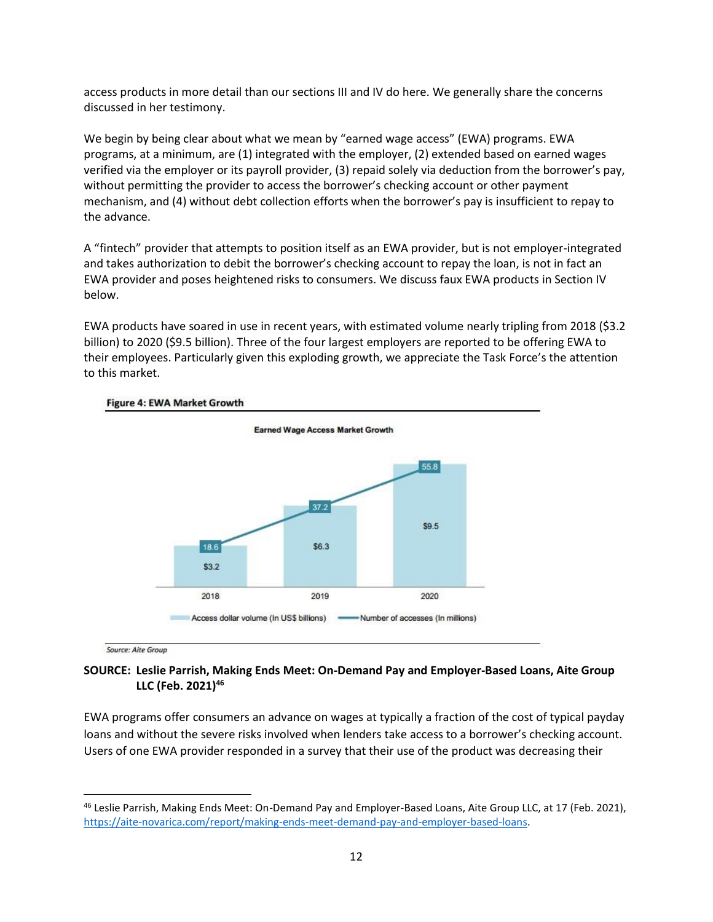access products in more detail than our sections III and IV do here. We generally share the concerns discussed in her testimony.

We begin by being clear about what we mean by "earned wage access" (EWA) programs. EWA programs, at a minimum, are (1) integrated with the employer, (2) extended based on earned wages verified via the employer or its payroll provider, (3) repaid solely via deduction from the borrower's pay, without permitting the provider to access the borrower's checking account or other payment mechanism, and (4) without debt collection efforts when the borrower's pay is insufficient to repay to the advance.

A "fintech" provider that attempts to position itself as an EWA provider, but is not employer-integrated and takes authorization to debit the borrower's checking account to repay the loan, is not in fact an EWA provider and poses heightened risks to consumers. We discuss faux EWA products in Section IV below.

EWA products have soared in use in recent years, with estimated volume nearly tripling from 2018 (\$3.2 billion) to 2020 (\$9.5 billion). Three of the four largest employers are reported to be offering EWA to their employees. Particularly given this exploding growth, we appreciate the Task Force's the attention to this market.



#### Figure 4: EWA Market Growth

Source: Aite Group

# **SOURCE: Leslie Parrish, Making Ends Meet: On-Demand Pay and Employer-Based Loans, Aite Group LLC (Feb. 2021)<sup>46</sup>**

EWA programs offer consumers an advance on wages at typically a fraction of the cost of typical payday loans and without the severe risks involved when lenders take access to a borrower's checking account. Users of one EWA provider responded in a survey that their use of the product was decreasing their

<sup>46</sup> Leslie Parrish, Making Ends Meet: On-Demand Pay and Employer-Based Loans, Aite Group LLC, at 17 (Feb. 2021), [https://aite-novarica.com/report/making-ends-meet-demand-pay-and-employer-based-loans.](https://aite-novarica.com/report/making-ends-meet-demand-pay-and-employer-based-loans)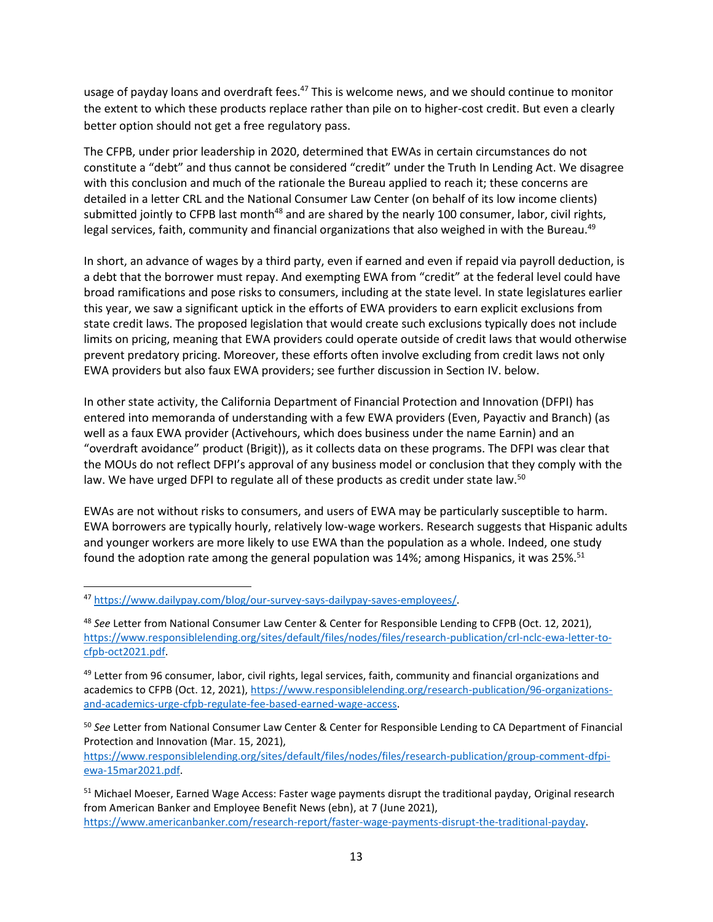usage of payday loans and overdraft fees.<sup>47</sup> This is welcome news, and we should continue to monitor the extent to which these products replace rather than pile on to higher-cost credit. But even a clearly better option should not get a free regulatory pass.

The CFPB, under prior leadership in 2020, determined that EWAs in certain circumstances do not constitute a "debt" and thus cannot be considered "credit" under the Truth In Lending Act. We disagree with this conclusion and much of the rationale the Bureau applied to reach it; these concerns are detailed in a letter CRL and the National Consumer Law Center (on behalf of its low income clients) submitted jointly to CFPB last month<sup>48</sup> and are shared by the nearly 100 consumer, labor, civil rights, legal services, faith, community and financial organizations that also weighed in with the Bureau.<sup>49</sup>

In short, an advance of wages by a third party, even if earned and even if repaid via payroll deduction, is a debt that the borrower must repay. And exempting EWA from "credit" at the federal level could have broad ramifications and pose risks to consumers, including at the state level. In state legislatures earlier this year, we saw a significant uptick in the efforts of EWA providers to earn explicit exclusions from state credit laws. The proposed legislation that would create such exclusions typically does not include limits on pricing, meaning that EWA providers could operate outside of credit laws that would otherwise prevent predatory pricing. Moreover, these efforts often involve excluding from credit laws not only EWA providers but also faux EWA providers; see further discussion in Section IV. below.

In other state activity, the California Department of Financial Protection and Innovation (DFPI) has entered into memoranda of understanding with a few EWA providers (Even, Payactiv and Branch) (as well as a faux EWA provider (Activehours, which does business under the name Earnin) and an "overdraft avoidance" product (Brigit)), as it collects data on these programs. The DFPI was clear that the MOUs do not reflect DFPI's approval of any business model or conclusion that they comply with the law. We have urged DFPI to regulate all of these products as credit under state law.<sup>50</sup>

EWAs are not without risks to consumers, and users of EWA may be particularly susceptible to harm. EWA borrowers are typically hourly, relatively low-wage workers. Research suggests that Hispanic adults and younger workers are more likely to use EWA than the population as a whole. Indeed, one study found the adoption rate among the general population was  $14\%$ ; among Hispanics, it was  $25\%$ <sup>51</sup>

[https://www.responsiblelending.org/sites/default/files/nodes/files/research-publication/group-comment-dfpi](https://www.responsiblelending.org/sites/default/files/nodes/files/research-publication/group-comment-dfpi-ewa-15mar2021.pdf)[ewa-15mar2021.pdf.](https://www.responsiblelending.org/sites/default/files/nodes/files/research-publication/group-comment-dfpi-ewa-15mar2021.pdf)

<sup>47</sup> [https://www.dailypay.com/blog/our-survey-says-dailypay-saves-employees/.](https://www.dailypay.com/blog/our-survey-says-dailypay-saves-employees/)

<sup>48</sup> *See* Letter from National Consumer Law Center & Center for Responsible Lending to CFPB (Oct. 12, 2021), [https://www.responsiblelending.org/sites/default/files/nodes/files/research-publication/crl-nclc-ewa-letter-to](https://www.responsiblelending.org/sites/default/files/nodes/files/research-publication/crl-nclc-ewa-letter-to-cfpb-oct2021.pdf)[cfpb-oct2021.pdf.](https://www.responsiblelending.org/sites/default/files/nodes/files/research-publication/crl-nclc-ewa-letter-to-cfpb-oct2021.pdf)

<sup>&</sup>lt;sup>49</sup> Letter from 96 consumer, labor, civil rights, legal services, faith, community and financial organizations and academics to CFPB (Oct. 12, 2021), [https://www.responsiblelending.org/research-publication/96-organizations](https://www.responsiblelending.org/research-publication/96-organizations-and-academics-urge-cfpb-regulate-fee-based-earned-wage-access)[and-academics-urge-cfpb-regulate-fee-based-earned-wage-access.](https://www.responsiblelending.org/research-publication/96-organizations-and-academics-urge-cfpb-regulate-fee-based-earned-wage-access)

<sup>50</sup> *See* Letter from National Consumer Law Center & Center for Responsible Lending to CA Department of Financial Protection and Innovation (Mar. 15, 2021),

<sup>&</sup>lt;sup>51</sup> Michael Moeser, Earned Wage Access: Faster wage payments disrupt the traditional payday, Original research from American Banker and Employee Benefit News (ebn), at 7 (June 2021), [https://www.americanbanker.com/research-report/faster-wage-payments-disrupt-the-traditional-payday.](https://www.americanbanker.com/research-report/faster-wage-payments-disrupt-the-traditional-payday)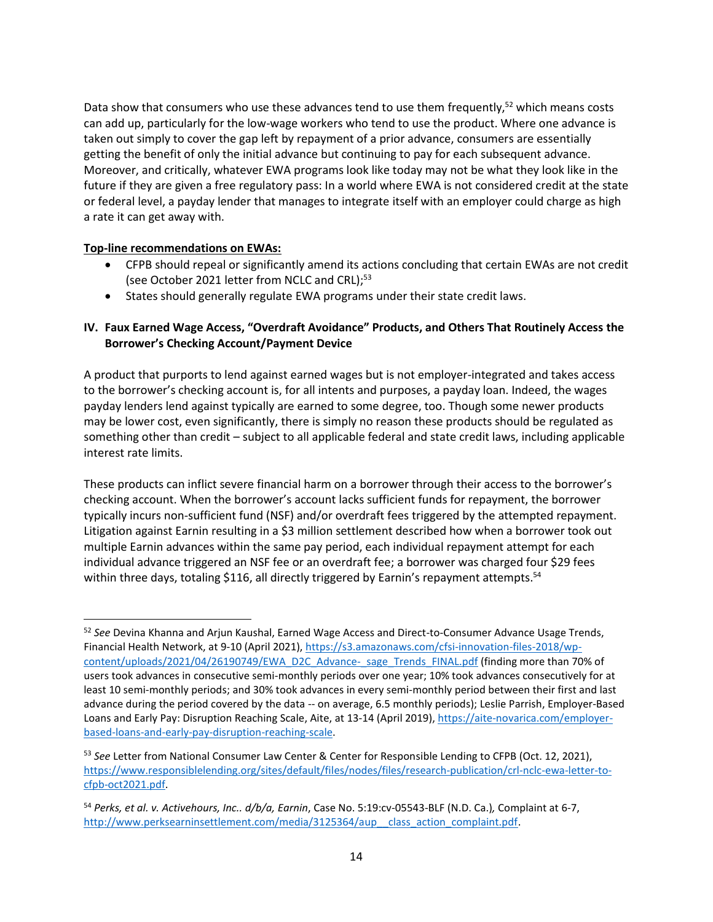Data show that consumers who use these advances tend to use them frequently,<sup>52</sup> which means costs can add up, particularly for the low-wage workers who tend to use the product. Where one advance is taken out simply to cover the gap left by repayment of a prior advance, consumers are essentially getting the benefit of only the initial advance but continuing to pay for each subsequent advance. Moreover, and critically, whatever EWA programs look like today may not be what they look like in the future if they are given a free regulatory pass: In a world where EWA is not considered credit at the state or federal level, a payday lender that manages to integrate itself with an employer could charge as high a rate it can get away with.

### **Top-line recommendations on EWAs:**

- CFPB should repeal or significantly amend its actions concluding that certain EWAs are not credit (see October 2021 letter from NCLC and CRL);<sup>53</sup>
- States should generally regulate EWA programs under their state credit laws.

### **IV. Faux Earned Wage Access, "Overdraft Avoidance" Products, and Others That Routinely Access the Borrower's Checking Account/Payment Device**

A product that purports to lend against earned wages but is not employer-integrated and takes access to the borrower's checking account is, for all intents and purposes, a payday loan. Indeed, the wages payday lenders lend against typically are earned to some degree, too. Though some newer products may be lower cost, even significantly, there is simply no reason these products should be regulated as something other than credit – subject to all applicable federal and state credit laws, including applicable interest rate limits.

These products can inflict severe financial harm on a borrower through their access to the borrower's checking account. When the borrower's account lacks sufficient funds for repayment, the borrower typically incurs non-sufficient fund (NSF) and/or overdraft fees triggered by the attempted repayment. Litigation against Earnin resulting in a \$3 million settlement described how when a borrower took out multiple Earnin advances within the same pay period, each individual repayment attempt for each individual advance triggered an NSF fee or an overdraft fee; a borrower was charged four \$29 fees within three days, totaling \$116, all directly triggered by Earnin's repayment attempts.<sup>54</sup>

<sup>52</sup> *See* Devina Khanna and Arjun Kaushal, Earned Wage Access and Direct-to-Consumer Advance Usage Trends, Financial Health Network, at 9-10 (April 2021)[, https://s3.amazonaws.com/cfsi-innovation-files-2018/wp](https://s3.amazonaws.com/cfsi-innovation-files-2018/wp-content/uploads/2021/04/26190749/EWA_D2C_Advance-_sage_Trends_FINAL.pdf)[content/uploads/2021/04/26190749/EWA\\_D2C\\_Advance-\\_sage\\_Trends\\_FINAL.pdf](https://s3.amazonaws.com/cfsi-innovation-files-2018/wp-content/uploads/2021/04/26190749/EWA_D2C_Advance-_sage_Trends_FINAL.pdf) (finding more than 70% of users took advances in consecutive semi-monthly periods over one year; 10% took advances consecutively for at least 10 semi-monthly periods; and 30% took advances in every semi-monthly period between their first and last advance during the period covered by the data -- on average, 6.5 monthly periods); Leslie Parrish, Employer-Based Loans and Early Pay: Disruption Reaching Scale, Aite, at 13-14 (April 2019), [https://aite-novarica.com/employer](https://aite-novarica.com/employer-based-loans-and-early-pay-disruption-reaching-scale)[based-loans-and-early-pay-disruption-reaching-scale.](https://aite-novarica.com/employer-based-loans-and-early-pay-disruption-reaching-scale)

<sup>53</sup> *See* Letter from National Consumer Law Center & Center for Responsible Lending to CFPB (Oct. 12, 2021), [https://www.responsiblelending.org/sites/default/files/nodes/files/research-publication/crl-nclc-ewa-letter-to](https://www.responsiblelending.org/sites/default/files/nodes/files/research-publication/crl-nclc-ewa-letter-to-cfpb-oct2021.pdf)[cfpb-oct2021.pdf.](https://www.responsiblelending.org/sites/default/files/nodes/files/research-publication/crl-nclc-ewa-letter-to-cfpb-oct2021.pdf)

<sup>54</sup> *Perks, et al. v. Activehours, Inc.. d/b/a, Earnin*, Case No. 5:19:cv-05543-BLF (N.D. Ca.)*,* Complaint at 6-7, [http://www.perksearninsettlement.com/media/3125364/aup\\_\\_class\\_action\\_complaint.pdf.](http://www.perksearninsettlement.com/media/3125364/aup__class_action_complaint.pdf)